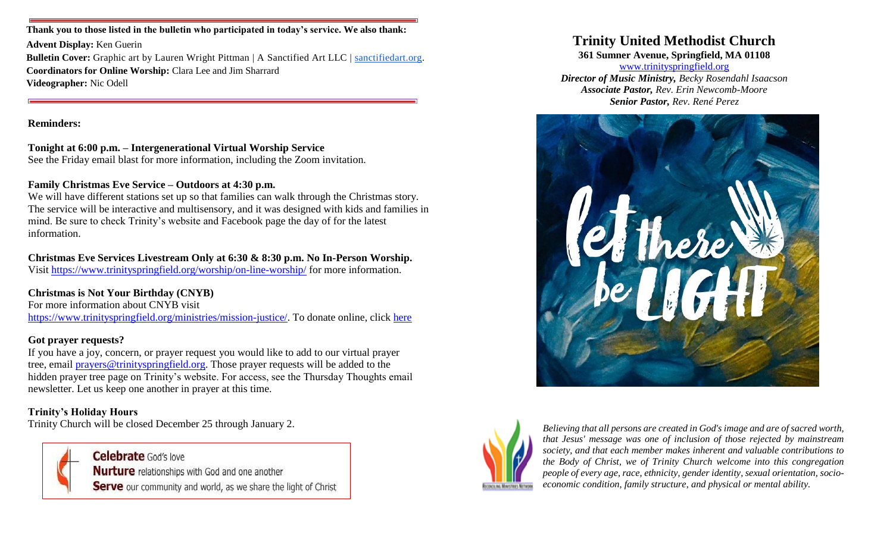**Thank you to those listed in the bulletin who participated in today's service. We also thank:**

**Advent Display:** Ken Guerin

**Bulletin Cover:** Graphic art by Lauren Wright Pittman | A Sanctified Art LLC | [sanctifiedart.org.](http://sanctifiedart.org/) **Coordinators for Online Worship:** Clara Lee and Jim Sharrard **Videographer:** Nic Odell

**Reminders:**

#### **Tonight at 6:00 p.m. – Intergenerational Virtual Worship Service**

See the Friday email blast for more information, including the Zoom invitation.

#### **Family Christmas Eve Service – Outdoors at 4:30 p.m.**

We will have different stations set up so that families can walk through the Christmas story. The service will be interactive and multisensory, and it was designed with kids and families in mind. Be sure to check Trinity's website and Facebook page the day of for the latest information.

## **Christmas Eve Services Livestream Only at 6:30 & 8:30 p.m. No In-Person Worship.**

Visit<https://www.trinityspringfield.org/worship/on-line-worship/> for more information.

## **Christmas is Not Your Birthday (CNYB)**

For more information about CNYB visit [https://www.trinityspringfield.org/ministries/mission-justice/.](https://www.trinityspringfield.org/ministries/mission-justice/) To donate online, click [here](https://www.eservicepayments.com/cgi-bin/Vanco_ver3.vps?appver3=Fi1giPL8kwX_Oe1AO50jRj0vhAzzjr3DiPty7PedB4zHO3iVYxvvxhHjRfLOeq662EvVVAEjqawDomKT1pboucydriD7IDxVhDy8eQdwHic=)

#### **Got prayer requests?**

If you have a joy, concern, or prayer request you would like to add to our virtual prayer tree, email [prayers@trinityspringfield.org.](mailto:prayers@trinityspringfield.org) Those prayer requests will be added to the hidden prayer tree page on Trinity's website. For access, see the Thursday Thoughts email newsletter. Let us keep one another in prayer at this time.

## **Trinity's Holiday Hours**

Trinity Church will be closed December 25 through January 2.



**Celebrate** God's love **Nurture** relationships with God and one another **Serve** our community and world, as we share the light of Christ

# **Trinity United Methodist Church**

**361 Sumner Avenue, Springfield, MA 01108**

[www.trinityspringfield.org](http://www.trinityspringfield.org/) *Director of Music Ministry, Becky Rosendahl Isaacson Associate Pastor, Rev. Erin Newcomb-Moore Senior Pastor, Rev. René Perez*





*Believing that all persons are created in God's image and are of sacred worth, that Jesus' message was one of inclusion of those rejected by mainstream society, and that each member makes inherent and valuable contributions to the Body of Christ, we of Trinity Church welcome into this congregation people of every age, race, ethnicity, gender identity, sexual orientation, socioeconomic condition, family structure, and physical or mental ability.*